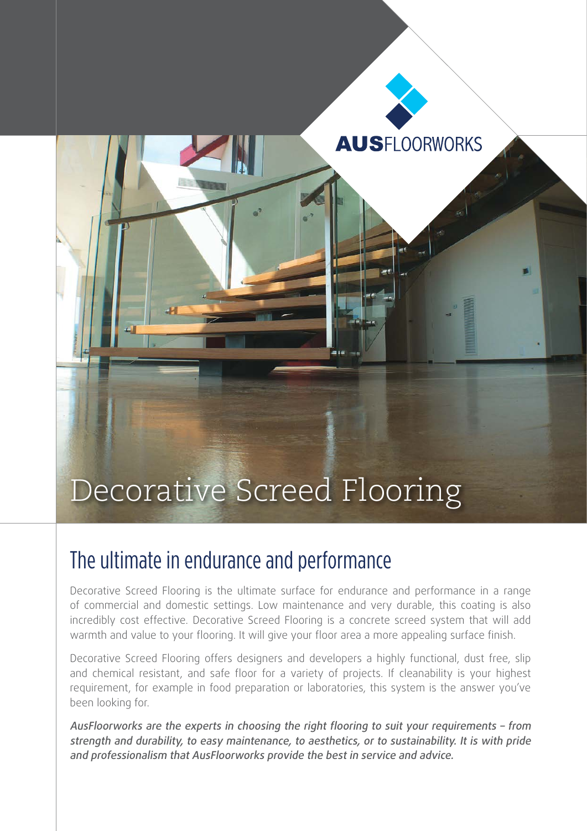# Decorative Screed Flooring

### The ultimate in endurance and performance

Decorative Screed Flooring is the ultimate surface for endurance and performance in a range of commercial and domestic settings. Low maintenance and very durable, this coating is also incredibly cost effective. Decorative Screed Flooring is a concrete screed system that will add warmth and value to your flooring. It will give your floor area a more appealing surface finish.

**AUSFLOORWORKS** 

Decorative Screed Flooring offers designers and developers a highly functional, dust free, slip and chemical resistant, and safe floor for a variety of projects. If cleanability is your highest requirement, for example in food preparation or laboratories, this system is the answer you've been looking for.

AusFloorworks are the experts in choosing the right flooring to suit your requirements – from strength and durability, to easy maintenance, to aesthetics, or to sustainability. It is with pride and professionalism that AusFloorworks provide the best in service and advice.